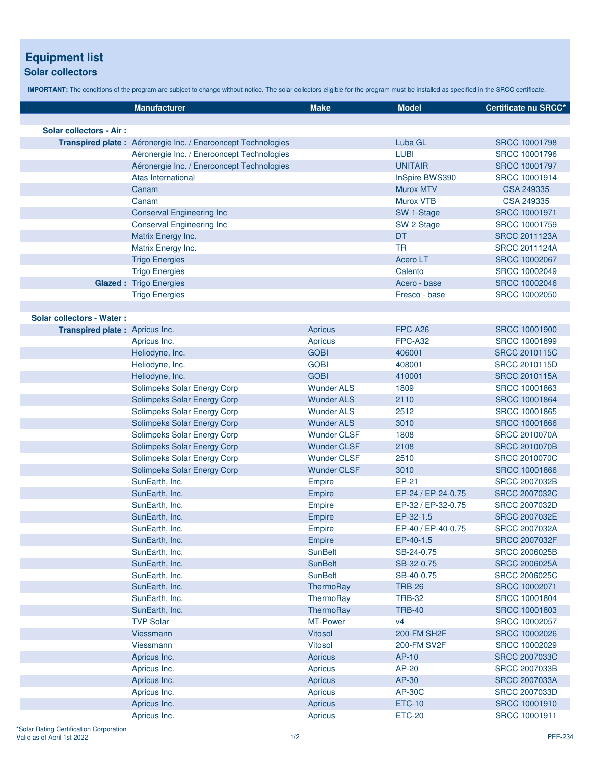## **Equipment list**

## **Solar collectors**

**IMPORTANT:** The conditions of the program are subject to change without notice. The solar collectors eligible for the program must be installed as specified in the SRCC certificate.

|                                | <b>Manufacturer</b>                                           | <b>Make</b>        | <b>Model</b>       | Certificate nu SRCC* |
|--------------------------------|---------------------------------------------------------------|--------------------|--------------------|----------------------|
|                                |                                                               |                    |                    |                      |
| Solar collectors - Air :       |                                                               |                    |                    |                      |
|                                | Transpired plate : Aéronergie Inc. / Enerconcept Technologies |                    | Luba GL            | <b>SRCC 10001798</b> |
|                                | Aéronergie Inc. / Enerconcept Technologies                    |                    | <b>LUBI</b>        | SRCC 10001796        |
|                                | Aéronergie Inc. / Enerconcept Technologies                    |                    | <b>UNITAIR</b>     | <b>SRCC 10001797</b> |
|                                | Atas International                                            |                    | InSpire BWS390     | SRCC 10001914        |
|                                | Canam                                                         |                    | <b>Murox MTV</b>   | CSA 249335           |
|                                | Canam                                                         |                    | <b>Murox VTB</b>   | CSA 249335           |
|                                | <b>Conserval Engineering Inc</b>                              |                    | SW 1-Stage         | <b>SRCC 10001971</b> |
|                                | <b>Conserval Engineering Inc</b>                              |                    | SW 2-Stage         | SRCC 10001759        |
|                                | Matrix Energy Inc.                                            |                    | DT                 | <b>SRCC 2011123A</b> |
|                                | Matrix Energy Inc.                                            |                    | <b>TR</b>          | <b>SRCC 2011124A</b> |
|                                | <b>Trigo Energies</b>                                         |                    | <b>Acero LT</b>    | SRCC 10002067        |
|                                | <b>Trigo Energies</b>                                         |                    | Calento            | SRCC 10002049        |
|                                | <b>Glazed: Trigo Energies</b>                                 |                    | Acero - base       | <b>SRCC 10002046</b> |
|                                | <b>Trigo Energies</b>                                         |                    | Fresco - base      | SRCC 10002050        |
|                                |                                                               |                    |                    |                      |
| Solar collectors - Water :     |                                                               |                    |                    |                      |
| Transpired plate: Apricus Inc. |                                                               | Apricus            | FPC-A26            | <b>SRCC 10001900</b> |
|                                | Apricus Inc.                                                  | Apricus            | <b>FPC-A32</b>     | <b>SRCC 10001899</b> |
|                                | Heliodyne, Inc.                                               | <b>GOBI</b>        | 406001             | <b>SRCC 2010115C</b> |
|                                | Heliodyne, Inc.                                               | <b>GOBI</b>        | 408001             | <b>SRCC 2010115D</b> |
|                                | Heliodyne, Inc.                                               | <b>GOBI</b>        | 410001             | <b>SRCC 2010115A</b> |
|                                | Solimpeks Solar Energy Corp                                   | <b>Wunder ALS</b>  | 1809               | SRCC 10001863        |
|                                | Solimpeks Solar Energy Corp                                   | <b>Wunder ALS</b>  | 2110               | <b>SRCC 10001864</b> |
|                                | Solimpeks Solar Energy Corp                                   | <b>Wunder ALS</b>  | 2512               | <b>SRCC 10001865</b> |
|                                | Solimpeks Solar Energy Corp                                   | <b>Wunder ALS</b>  | 3010               | <b>SRCC 10001866</b> |
|                                | Solimpeks Solar Energy Corp                                   | <b>Wunder CLSF</b> | 1808               | <b>SRCC 2010070A</b> |
|                                | Solimpeks Solar Energy Corp                                   | <b>Wunder CLSF</b> | 2108               | <b>SRCC 2010070B</b> |
|                                | Solimpeks Solar Energy Corp                                   | <b>Wunder CLSF</b> | 2510               | <b>SRCC 2010070C</b> |
|                                | Solimpeks Solar Energy Corp                                   | <b>Wunder CLSF</b> | 3010               | <b>SRCC 10001866</b> |
|                                | SunEarth, Inc.                                                | Empire             | EP-21              | <b>SRCC 2007032B</b> |
|                                | SunEarth, Inc.                                                | <b>Empire</b>      | EP-24 / EP-24-0.75 | <b>SRCC 2007032C</b> |
|                                | SunEarth, Inc.                                                | <b>Empire</b>      | EP-32 / EP-32-0.75 | <b>SRCC 2007032D</b> |
|                                | SunEarth, Inc.                                                | <b>Empire</b>      | EP-32-1.5          | <b>SRCC 2007032E</b> |
|                                | SunEarth, Inc.                                                | Empire             | EP-40 / EP-40-0.75 | SRCC 2007032A        |
|                                | SunEarth, Inc.                                                | Empire             | EP-40-1.5          | <b>SRCC 2007032F</b> |
|                                | SunEarth, Inc.                                                | <b>SunBelt</b>     | SB-24-0.75         | <b>SRCC 2006025B</b> |
|                                | SunEarth, Inc.                                                | <b>SunBelt</b>     | SB-32-0.75         | <b>SRCC 2006025A</b> |
|                                | SunEarth, Inc.                                                | <b>SunBelt</b>     | SB-40-0.75         | <b>SRCC 2006025C</b> |
|                                | SunEarth, Inc.                                                | ThermoRay          | <b>TRB-26</b>      | SRCC 10002071        |
|                                | SunEarth, Inc.                                                | ThermoRay          | <b>TRB-32</b>      | SRCC 10001804        |
|                                | SunEarth, Inc.                                                | ThermoRay          | <b>TRB-40</b>      | <b>SRCC 10001803</b> |
|                                | <b>TVP Solar</b>                                              | MT-Power           | V <sub>4</sub>     | SRCC 10002057        |
|                                | Viessmann                                                     | <b>Vitosol</b>     | 200-FM SH2F        | SRCC 10002026        |
|                                | Viessmann                                                     | <b>Vitosol</b>     | 200-FM SV2F        | SRCC 10002029        |
|                                | Apricus Inc.                                                  | Apricus            | AP-10              | <b>SRCC 2007033C</b> |
|                                | Apricus Inc.                                                  | Apricus            | AP-20              | <b>SRCC 2007033B</b> |
|                                | Apricus Inc.                                                  | Apricus            | AP-30              | <b>SRCC 2007033A</b> |
|                                | Apricus Inc.                                                  | <b>Apricus</b>     | <b>AP-30C</b>      | <b>SRCC 2007033D</b> |
|                                | Apricus Inc.                                                  | <b>Apricus</b>     | <b>ETC-10</b>      | <b>SRCC 10001910</b> |
|                                | Apricus Inc.                                                  | <b>Apricus</b>     | <b>ETC-20</b>      | SRCC 10001911        |